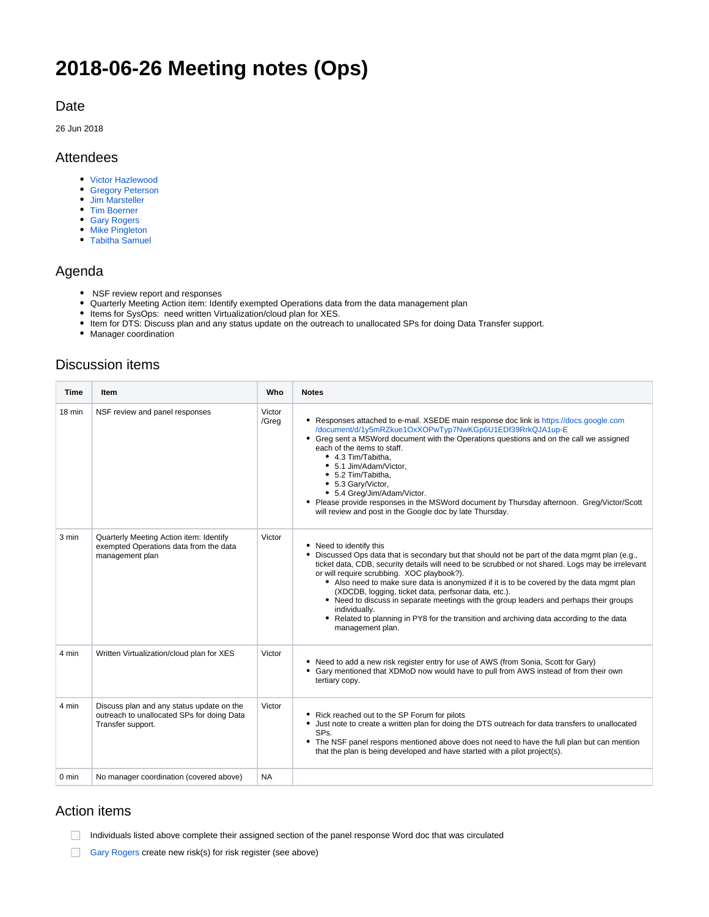# **2018-06-26 Meeting notes (Ops)**

### Date

26 Jun 2018

### Attendees

- [Victor Hazlewood](https://confluence.xsede.org/display/~victorh)
- **[Gregory Peterson](https://confluence.xsede.org/display/~gdp)**
- [Jim Marsteller](https://confluence.xsede.org/display/~jam)
- [Tim Boerner](https://confluence.xsede.org/display/~tboerner)
- [Gary Rogers](https://confluence.xsede.org/display/~grogers)
- [Mike Pingleton](https://confluence.xsede.org/display/~pingleto)
- [Tabitha Samuel](https://confluence.xsede.org/display/~tsamuel)

### Agenda

- NSF review report and responses
- Quarterly Meeting Action item: Identify exempted Operations data from the data management plan
- Items for SysOps: need written Virtualization/cloud plan for XES.
- Item for DTS: Discuss plan and any status update on the outreach to unallocated SPs for doing Data Transfer support.
- Manager coordination

### Discussion items

| Time            | Item                                                                                                         | Who             | <b>Notes</b>                                                                                                                                                                                                                                                                                                                                                                                                                                                                                                                                                                                                                                                    |
|-----------------|--------------------------------------------------------------------------------------------------------------|-----------------|-----------------------------------------------------------------------------------------------------------------------------------------------------------------------------------------------------------------------------------------------------------------------------------------------------------------------------------------------------------------------------------------------------------------------------------------------------------------------------------------------------------------------------------------------------------------------------------------------------------------------------------------------------------------|
| 18 min          | NSF review and panel responses                                                                               | Victor<br>/Greg | • Responses attached to e-mail. XSEDE main response doc link is https://docs.google.com<br>/document/d/1y5mRZkue1OxXOPwTyp7NwKGp6U1EDf39RrkQJA1up-E<br>• Greg sent a MSWord document with the Operations questions and on the call we assigned<br>each of the items to staff.<br>• 4.3 Tim/Tabitha.<br>• 5.1 Jim/Adam/Victor,<br>• 5.2 Tim/Tabitha,<br>• 5.3 Gary/Victor,<br>• 5.4 Greg/Jim/Adam/Victor.<br>• Please provide responses in the MSWord document by Thursday afternoon. Greg/Victor/Scott<br>will review and post in the Google doc by late Thursday.                                                                                              |
| 3 min           | Quarterly Meeting Action item: Identify<br>exempted Operations data from the data<br>management plan         | Victor          | • Need to identify this<br>Discussed Ops data that is secondary but that should not be part of the data mgmt plan (e.g.,<br>٠<br>ticket data, CDB, security details will need to be scrubbed or not shared. Logs may be irrelevant<br>or will require scrubbing. XOC playbook?).<br>• Also need to make sure data is anonymized if it is to be covered by the data mgmt plan<br>(XDCDB, logging, ticket data, perfsonar data, etc.).<br>• Need to discuss in separate meetings with the group leaders and perhaps their groups<br>individually.<br>• Related to planning in PY8 for the transition and archiving data according to the data<br>management plan. |
| 4 min           | Written Virtualization/cloud plan for XES                                                                    | Victor          | • Need to add a new risk register entry for use of AWS (from Sonia, Scott for Gary)<br>• Gary mentioned that XDMoD now would have to pull from AWS instead of from their own<br>tertiary copy.                                                                                                                                                                                                                                                                                                                                                                                                                                                                  |
| 4 min           | Discuss plan and any status update on the<br>outreach to unallocated SPs for doing Data<br>Transfer support. | Victor          | • Rick reached out to the SP Forum for pilots<br>• Just note to create a written plan for doing the DTS outreach for data transfers to unallocated<br>SPs.<br>• The NSF panel respons mentioned above does not need to have the full plan but can mention<br>that the plan is being developed and have started with a pilot project(s).                                                                                                                                                                                                                                                                                                                         |
| $0 \text{ min}$ | No manager coordination (covered above)                                                                      | <b>NA</b>       |                                                                                                                                                                                                                                                                                                                                                                                                                                                                                                                                                                                                                                                                 |

## Action items

- Individuals listed above complete their assigned section of the panel response Word doc that was circulated
- [Gary Rogers](https://confluence.xsede.org/display/~grogers) create new risk(s) for risk register (see above)